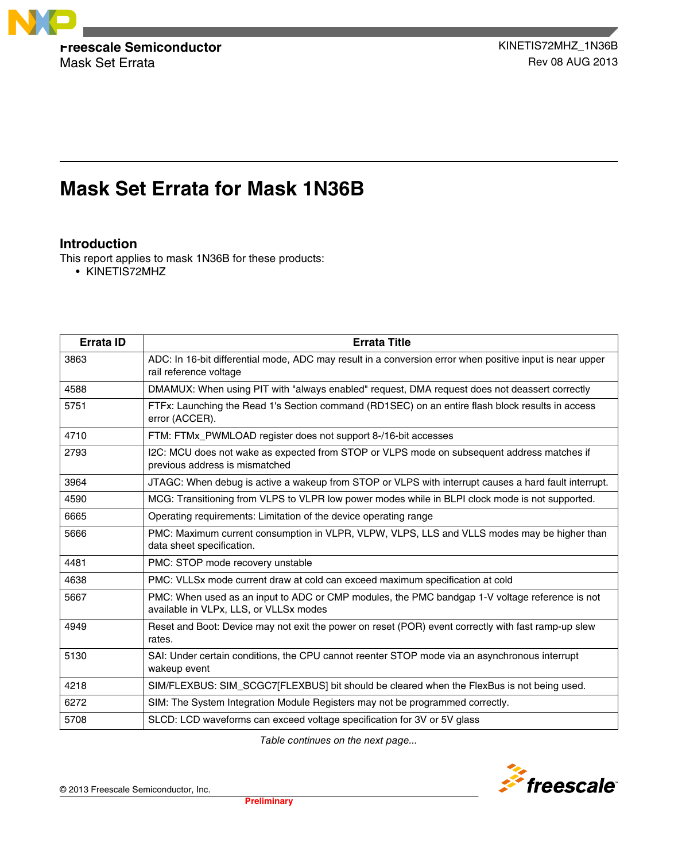

Mask Set Errata **Rev 08 AUG 2013** 

# **Mask Set Errata for Mask 1N36B**

## **Introduction**

This report applies to mask 1N36B for these products:

• KINETIS72MHZ

| Errata ID | <b>Errata Title</b>                                                                                                                      |
|-----------|------------------------------------------------------------------------------------------------------------------------------------------|
| 3863      | ADC: In 16-bit differential mode, ADC may result in a conversion error when positive input is near upper<br>rail reference voltage       |
| 4588      | DMAMUX: When using PIT with "always enabled" request, DMA request does not deassert correctly                                            |
| 5751      | FTFx: Launching the Read 1's Section command (RD1SEC) on an entire flash block results in access<br>error (ACCER).                       |
| 4710      | FTM: FTMx_PWMLOAD register does not support 8-/16-bit accesses                                                                           |
| 2793      | I2C: MCU does not wake as expected from STOP or VLPS mode on subsequent address matches if<br>previous address is mismatched             |
| 3964      | JTAGC: When debug is active a wakeup from STOP or VLPS with interrupt causes a hard fault interrupt.                                     |
| 4590      | MCG: Transitioning from VLPS to VLPR low power modes while in BLPI clock mode is not supported.                                          |
| 6665      | Operating requirements: Limitation of the device operating range                                                                         |
| 5666      | PMC: Maximum current consumption in VLPR, VLPW, VLPS, LLS and VLLS modes may be higher than<br>data sheet specification.                 |
| 4481      | PMC: STOP mode recovery unstable                                                                                                         |
| 4638      | PMC: VLLSx mode current draw at cold can exceed maximum specification at cold                                                            |
| 5667      | PMC: When used as an input to ADC or CMP modules, the PMC bandgap 1-V voltage reference is not<br>available in VLPx, LLS, or VLLSx modes |
| 4949      | Reset and Boot: Device may not exit the power on reset (POR) event correctly with fast ramp-up slew<br>rates.                            |
| 5130      | SAI: Under certain conditions, the CPU cannot reenter STOP mode via an asynchronous interrupt<br>wakeup event                            |
| 4218      | SIM/FLEXBUS: SIM_SCGC7[FLEXBUS] bit should be cleared when the FlexBus is not being used.                                                |
| 6272      | SIM: The System Integration Module Registers may not be programmed correctly.                                                            |
| 5708      | SLCD: LCD waveforms can exceed voltage specification for 3V or 5V glass                                                                  |

*Table continues on the next page...*

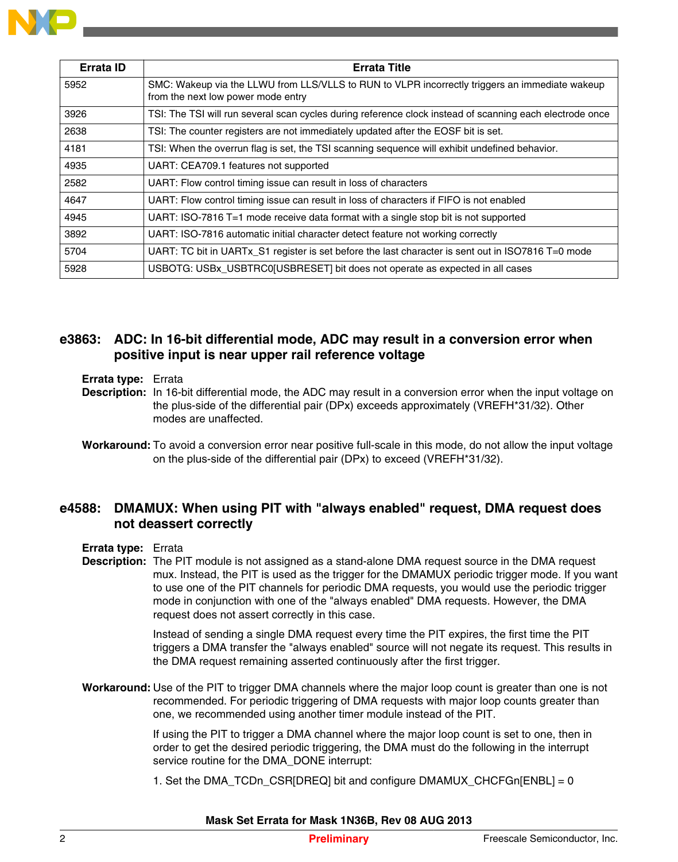

| <b>Errata ID</b> | <b>Errata Title</b>                                                                                                                  |
|------------------|--------------------------------------------------------------------------------------------------------------------------------------|
| 5952             | SMC: Wakeup via the LLWU from LLS/VLLS to RUN to VLPR incorrectly triggers an immediate wakeup<br>from the next low power mode entry |
| 3926             | TSI: The TSI will run several scan cycles during reference clock instead of scanning each electrode once                             |
| 2638             | TSI: The counter registers are not immediately updated after the EOSF bit is set.                                                    |
| 4181             | TSI: When the overrun flag is set, the TSI scanning sequence will exhibit undefined behavior.                                        |
| 4935             | UART: CEA709.1 features not supported                                                                                                |
| 2582             | UART: Flow control timing issue can result in loss of characters                                                                     |
| 4647             | UART: Flow control timing issue can result in loss of characters if FIFO is not enabled                                              |
| 4945             | UART: ISO-7816 T=1 mode receive data format with a single stop bit is not supported                                                  |
| 3892             | UART: ISO-7816 automatic initial character detect feature not working correctly                                                      |
| 5704             | UART: TC bit in UARTx_S1 register is set before the last character is sent out in ISO7816 T=0 mode                                   |
| 5928             | USBOTG: USBx_USBTRC0[USBRESET] bit does not operate as expected in all cases                                                         |

#### **e3863: ADC: In 16-bit differential mode, ADC may result in a conversion error when positive input is near upper rail reference voltage**

#### **Errata type:** Errata

- **Description:** In 16-bit differential mode, the ADC may result in a conversion error when the input voltage on the plus-side of the differential pair (DPx) exceeds approximately (VREFH\*31/32). Other modes are unaffected.
- **Workaround:** To avoid a conversion error near positive full-scale in this mode, do not allow the input voltage on the plus-side of the differential pair (DPx) to exceed (VREFH\*31/32).

# **e4588: DMAMUX: When using PIT with "always enabled" request, DMA request does not deassert correctly**

#### **Errata type:** Errata

**Description:** The PIT module is not assigned as a stand-alone DMA request source in the DMA request mux. Instead, the PIT is used as the trigger for the DMAMUX periodic trigger mode. If you want to use one of the PIT channels for periodic DMA requests, you would use the periodic trigger mode in conjunction with one of the "always enabled" DMA requests. However, the DMA request does not assert correctly in this case.

> Instead of sending a single DMA request every time the PIT expires, the first time the PIT triggers a DMA transfer the "always enabled" source will not negate its request. This results in the DMA request remaining asserted continuously after the first trigger.

**Workaround:** Use of the PIT to trigger DMA channels where the major loop count is greater than one is not recommended. For periodic triggering of DMA requests with major loop counts greater than one, we recommended using another timer module instead of the PIT.

> If using the PIT to trigger a DMA channel where the major loop count is set to one, then in order to get the desired periodic triggering, the DMA must do the following in the interrupt service routine for the DMA\_DONE interrupt:

1. Set the DMA\_TCDn\_CSR[DREQ] bit and configure DMAMUX\_CHCFGn[ENBL] = 0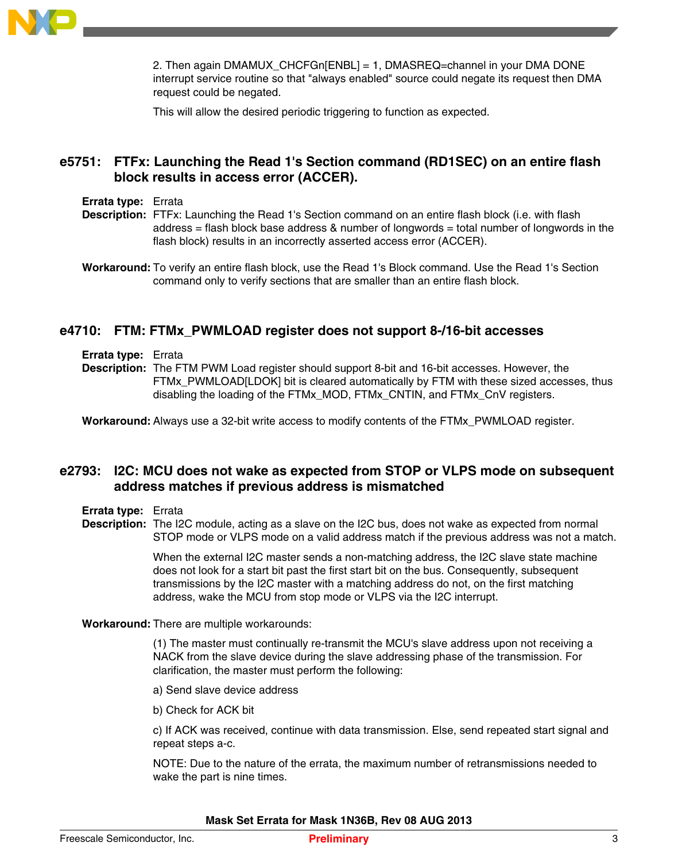

2. Then again DMAMUX\_CHCFGn[ENBL] = 1, DMASREQ=channel in your DMA DONE interrupt service routine so that "always enabled" source could negate its request then DMA request could be negated.

This will allow the desired periodic triggering to function as expected.

## **e5751: FTFx: Launching the Read 1's Section command (RD1SEC) on an entire flash block results in access error (ACCER).**

#### **Errata type:** Errata

- **Description:** FTFx: Launching the Read 1's Section command on an entire flash block (i.e. with flash address = flash block base address & number of longwords = total number of longwords in the flash block) results in an incorrectly asserted access error (ACCER).
- **Workaround:** To verify an entire flash block, use the Read 1's Block command. Use the Read 1's Section command only to verify sections that are smaller than an entire flash block.

#### **e4710: FTM: FTMx\_PWMLOAD register does not support 8-/16-bit accesses**

- **Errata type:** Errata
- **Description:** The FTM PWM Load register should support 8-bit and 16-bit accesses. However, the FTMx\_PWMLOAD[LDOK] bit is cleared automatically by FTM with these sized accesses, thus disabling the loading of the FTMx\_MOD, FTMx\_CNTIN, and FTMx\_CnV registers.

**Workaround:** Always use a 32-bit write access to modify contents of the FTMx\_PWMLOAD register.

#### **e2793: I2C: MCU does not wake as expected from STOP or VLPS mode on subsequent address matches if previous address is mismatched**

- **Errata type:** Errata
- **Description:** The I2C module, acting as a slave on the I2C bus, does not wake as expected from normal STOP mode or VLPS mode on a valid address match if the previous address was not a match.

When the external I2C master sends a non-matching address, the I2C slave state machine does not look for a start bit past the first start bit on the bus. Consequently, subsequent transmissions by the I2C master with a matching address do not, on the first matching address, wake the MCU from stop mode or VLPS via the I2C interrupt.

**Workaround:** There are multiple workarounds:

(1) The master must continually re-transmit the MCU's slave address upon not receiving a NACK from the slave device during the slave addressing phase of the transmission. For clarification, the master must perform the following:

- a) Send slave device address
- b) Check for ACK bit

c) If ACK was received, continue with data transmission. Else, send repeated start signal and repeat steps a-c.

NOTE: Due to the nature of the errata, the maximum number of retransmissions needed to wake the part is nine times.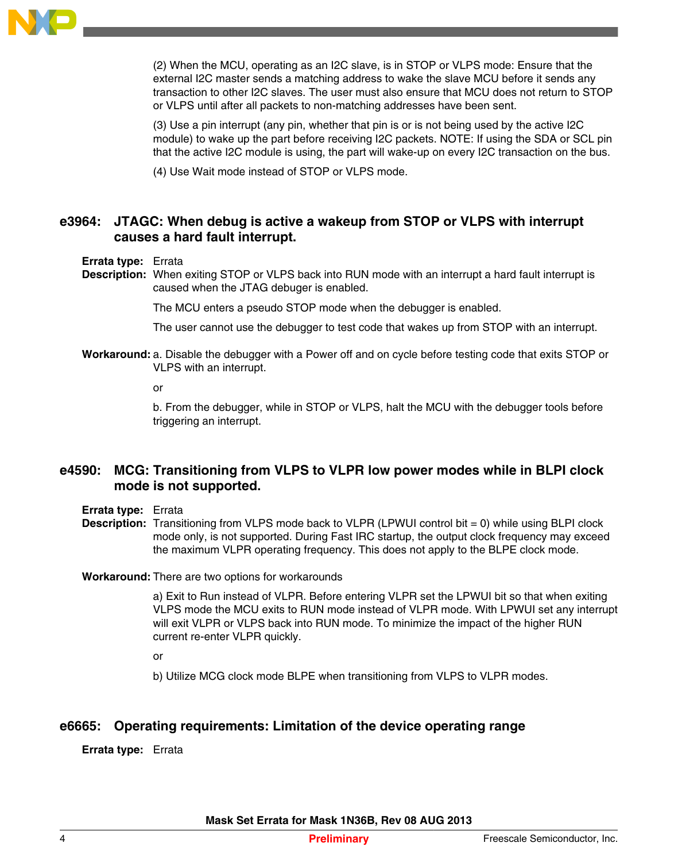

(2) When the MCU, operating as an I2C slave, is in STOP or VLPS mode: Ensure that the external I2C master sends a matching address to wake the slave MCU before it sends any transaction to other I2C slaves. The user must also ensure that MCU does not return to STOP or VLPS until after all packets to non-matching addresses have been sent.

(3) Use a pin interrupt (any pin, whether that pin is or is not being used by the active I2C module) to wake up the part before receiving I2C packets. NOTE: If using the SDA or SCL pin that the active I2C module is using, the part will wake-up on every I2C transaction on the bus.

(4) Use Wait mode instead of STOP or VLPS mode.

# **e3964: JTAGC: When debug is active a wakeup from STOP or VLPS with interrupt causes a hard fault interrupt.**

#### **Errata type:** Errata

**Description:** When exiting STOP or VLPS back into RUN mode with an interrupt a hard fault interrupt is caused when the JTAG debuger is enabled.

The MCU enters a pseudo STOP mode when the debugger is enabled.

The user cannot use the debugger to test code that wakes up from STOP with an interrupt.

**Workaround:**a. Disable the debugger with a Power off and on cycle before testing code that exits STOP or VLPS with an interrupt.

or

b. From the debugger, while in STOP or VLPS, halt the MCU with the debugger tools before triggering an interrupt.

## **e4590: MCG: Transitioning from VLPS to VLPR low power modes while in BLPI clock mode is not supported.**

- **Errata type:** Errata
- **Description:** Transitioning from VLPS mode back to VLPR (LPWUI control bit = 0) while using BLPI clock mode only, is not supported. During Fast IRC startup, the output clock frequency may exceed the maximum VLPR operating frequency. This does not apply to the BLPE clock mode.

#### **Workaround:** There are two options for workarounds

a) Exit to Run instead of VLPR. Before entering VLPR set the LPWUI bit so that when exiting VLPS mode the MCU exits to RUN mode instead of VLPR mode. With LPWUI set any interrupt will exit VLPR or VLPS back into RUN mode. To minimize the impact of the higher RUN current re-enter VLPR quickly.

or

b) Utilize MCG clock mode BLPE when transitioning from VLPS to VLPR modes.

## **e6665: Operating requirements: Limitation of the device operating range**

**Errata type:** Errata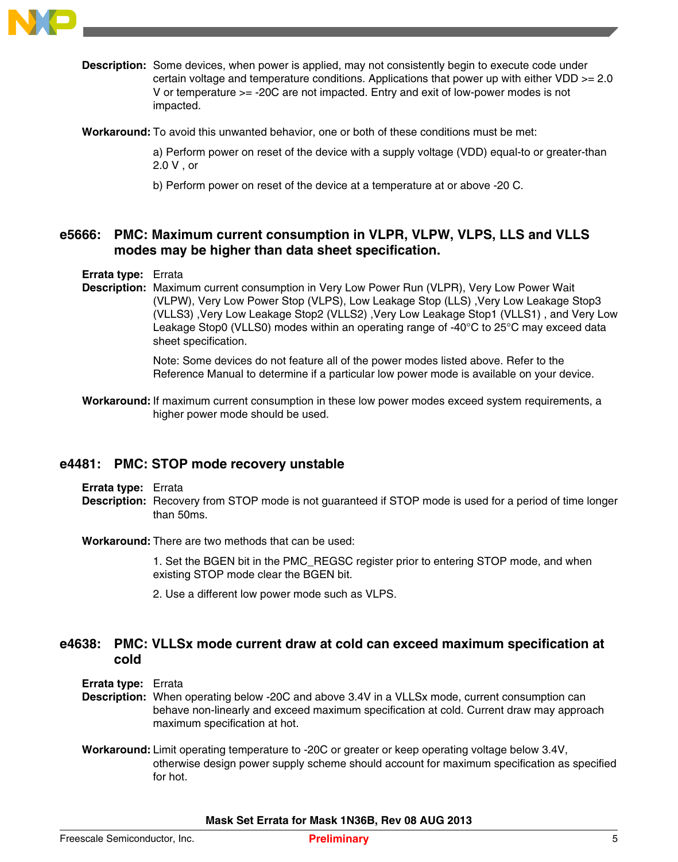

**Description:** Some devices, when power is applied, may not consistently begin to execute code under certain voltage and temperature conditions. Applications that power up with either VDD >= 2.0 V or temperature >= -20C are not impacted. Entry and exit of low-power modes is not impacted.

**Workaround:** To avoid this unwanted behavior, one or both of these conditions must be met:

a) Perform power on reset of the device with a supply voltage (VDD) equal-to or greater-than 2.0 V , or

b) Perform power on reset of the device at a temperature at or above -20 C.

# **e5666: PMC: Maximum current consumption in VLPR, VLPW, VLPS, LLS and VLLS modes may be higher than data sheet specification.**

#### **Errata type:** Errata

**Description:** Maximum current consumption in Very Low Power Run (VLPR), Very Low Power Wait (VLPW), Very Low Power Stop (VLPS), Low Leakage Stop (LLS) ,Very Low Leakage Stop3 (VLLS3) ,Very Low Leakage Stop2 (VLLS2) ,Very Low Leakage Stop1 (VLLS1) , and Very Low Leakage Stop0 (VLLS0) modes within an operating range of -40°C to 25°C may exceed data sheet specification.

> Note: Some devices do not feature all of the power modes listed above. Refer to the Reference Manual to determine if a particular low power mode is available on your device.

**Workaround:** If maximum current consumption in these low power modes exceed system requirements, a higher power mode should be used.

#### **e4481: PMC: STOP mode recovery unstable**

- **Errata type:** Errata
- **Description:** Recovery from STOP mode is not guaranteed if STOP mode is used for a period of time longer than 50ms.

**Workaround:** There are two methods that can be used:

1. Set the BGEN bit in the PMC\_REGSC register prior to entering STOP mode, and when existing STOP mode clear the BGEN bit.

2. Use a different low power mode such as VLPS.

#### **e4638: PMC: VLLSx mode current draw at cold can exceed maximum specification at cold**

**Errata type:** Errata

- **Description:** When operating below -20C and above 3.4V in a VLLSx mode, current consumption can behave non-linearly and exceed maximum specification at cold. Current draw may approach maximum specification at hot.
- **Workaround:**Limit operating temperature to -20C or greater or keep operating voltage below 3.4V, otherwise design power supply scheme should account for maximum specification as specified for hot.

**Mask Set Errata for Mask 1N36B, Rev 08 AUG 2013**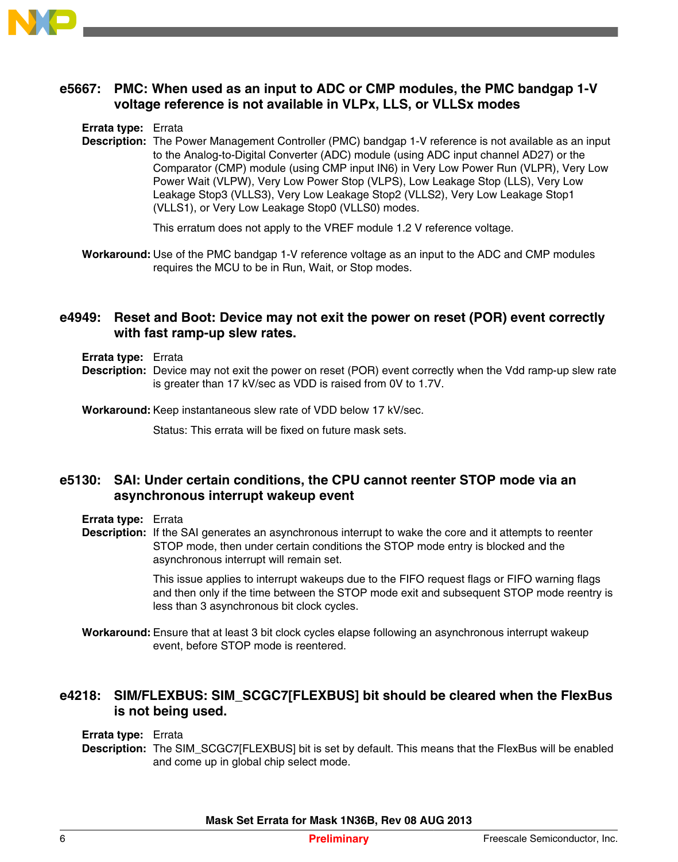

## **e5667: PMC: When used as an input to ADC or CMP modules, the PMC bandgap 1-V voltage reference is not available in VLPx, LLS, or VLLSx modes**

**Errata type:** Errata

**Description:** The Power Management Controller (PMC) bandgap 1-V reference is not available as an input to the Analog-to-Digital Converter (ADC) module (using ADC input channel AD27) or the Comparator (CMP) module (using CMP input IN6) in Very Low Power Run (VLPR), Very Low Power Wait (VLPW), Very Low Power Stop (VLPS), Low Leakage Stop (LLS), Very Low Leakage Stop3 (VLLS3), Very Low Leakage Stop2 (VLLS2), Very Low Leakage Stop1 (VLLS1), or Very Low Leakage Stop0 (VLLS0) modes.

This erratum does not apply to the VREF module 1.2 V reference voltage.

**Workaround:** Use of the PMC bandgap 1-V reference voltage as an input to the ADC and CMP modules requires the MCU to be in Run, Wait, or Stop modes.

#### **e4949: Reset and Boot: Device may not exit the power on reset (POR) event correctly with fast ramp-up slew rates.**

- **Errata type:** Errata
- **Description:** Device may not exit the power on reset (POR) event correctly when the Vdd ramp-up slew rate is greater than 17 kV/sec as VDD is raised from 0V to 1.7V.

**Workaround:** Keep instantaneous slew rate of VDD below 17 kV/sec.

Status: This errata will be fixed on future mask sets.

## **e5130: SAI: Under certain conditions, the CPU cannot reenter STOP mode via an asynchronous interrupt wakeup event**

**Errata type:** Errata

**Description:** If the SAI generates an asynchronous interrupt to wake the core and it attempts to reenter STOP mode, then under certain conditions the STOP mode entry is blocked and the asynchronous interrupt will remain set.

> This issue applies to interrupt wakeups due to the FIFO request flags or FIFO warning flags and then only if the time between the STOP mode exit and subsequent STOP mode reentry is less than 3 asynchronous bit clock cycles.

**Workaround:** Ensure that at least 3 bit clock cycles elapse following an asynchronous interrupt wakeup event, before STOP mode is reentered.

## **e4218: SIM/FLEXBUS: SIM\_SCGC7[FLEXBUS] bit should be cleared when the FlexBus is not being used.**

#### **Errata type:** Errata

**Description:** The SIM\_SCGC7[FLEXBUS] bit is set by default. This means that the FlexBus will be enabled and come up in global chip select mode.

**Mask Set Errata for Mask 1N36B, Rev 08 AUG 2013**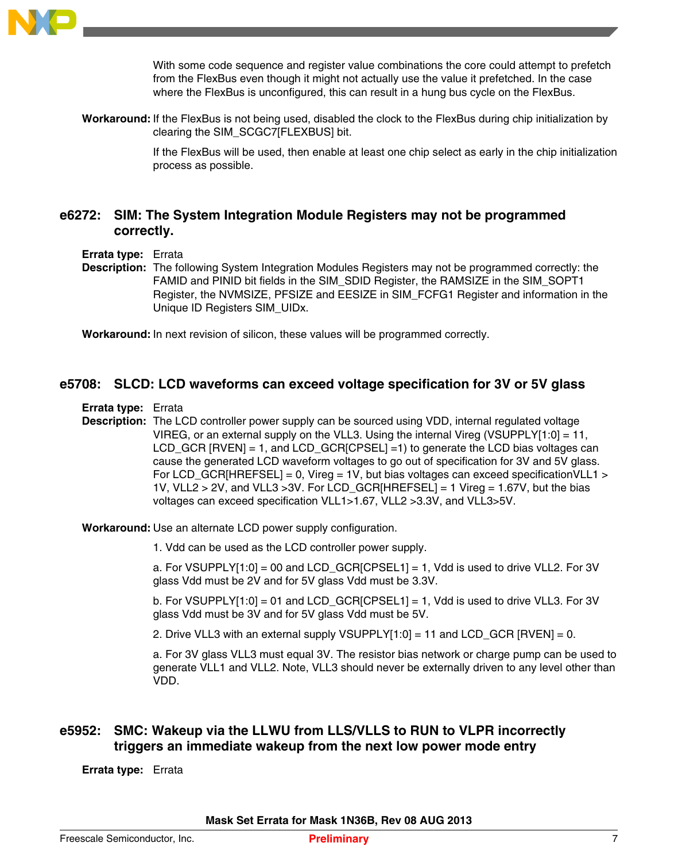

With some code sequence and register value combinations the core could attempt to prefetch from the FlexBus even though it might not actually use the value it prefetched. In the case where the FlexBus is unconfigured, this can result in a hung bus cycle on the FlexBus.

**Workaround:** If the FlexBus is not being used, disabled the clock to the FlexBus during chip initialization by clearing the SIM\_SCGC7[FLEXBUS] bit.

> If the FlexBus will be used, then enable at least one chip select as early in the chip initialization process as possible.

#### **e6272: SIM: The System Integration Module Registers may not be programmed correctly.**

**Errata type:** Errata

**Description:** The following System Integration Modules Registers may not be programmed correctly: the FAMID and PINID bit fields in the SIM\_SDID Register, the RAMSIZE in the SIM\_SOPT1 Register, the NVMSIZE, PFSIZE and EESIZE in SIM\_FCFG1 Register and information in the Unique ID Registers SIM\_UIDx.

**Workaround:** In next revision of silicon, these values will be programmed correctly.

#### **e5708: SLCD: LCD waveforms can exceed voltage specification for 3V or 5V glass**

**Errata type:** Errata

**Description:** The LCD controller power supply can be sourced using VDD, internal regulated voltage VIREG, or an external supply on the VLL3. Using the internal Vireg (VSUPPLY[1:0] = 11, LCD\_GCR [RVEN] = 1, and LCD\_GCR[CPSEL] =1) to generate the LCD bias voltages can cause the generated LCD waveform voltages to go out of specification for 3V and 5V glass. For LCD\_GCR[HREFSEL] = 0, Vireg = 1V, but bias voltages can exceed specification VLL1 > 1V, VLL2 > 2V, and VLL3 >3V. For LCD\_GCR[HREFSEL] = 1 Vireg = 1.67V, but the bias voltages can exceed specification VLL1>1.67, VLL2 >3.3V, and VLL3>5V.

**Workaround:** Use an alternate LCD power supply configuration.

1. Vdd can be used as the LCD controller power supply.

a. For VSUPPLY[1:0] = 00 and LCD\_GCR[CPSEL1] = 1, Vdd is used to drive VLL2. For 3V glass Vdd must be 2V and for 5V glass Vdd must be 3.3V.

b. For VSUPPLY[1:0] = 01 and LCD\_GCR[CPSEL1] = 1, Vdd is used to drive VLL3. For 3V glass Vdd must be 3V and for 5V glass Vdd must be 5V.

2. Drive VLL3 with an external supply VSUPPLY $[1:0] = 11$  and LCD\_GCR  $[RVEN] = 0$ .

a. For 3V glass VLL3 must equal 3V. The resistor bias network or charge pump can be used to generate VLL1 and VLL2. Note, VLL3 should never be externally driven to any level other than VDD.

# **e5952: SMC: Wakeup via the LLWU from LLS/VLLS to RUN to VLPR incorrectly triggers an immediate wakeup from the next low power mode entry**

**Errata type:** Errata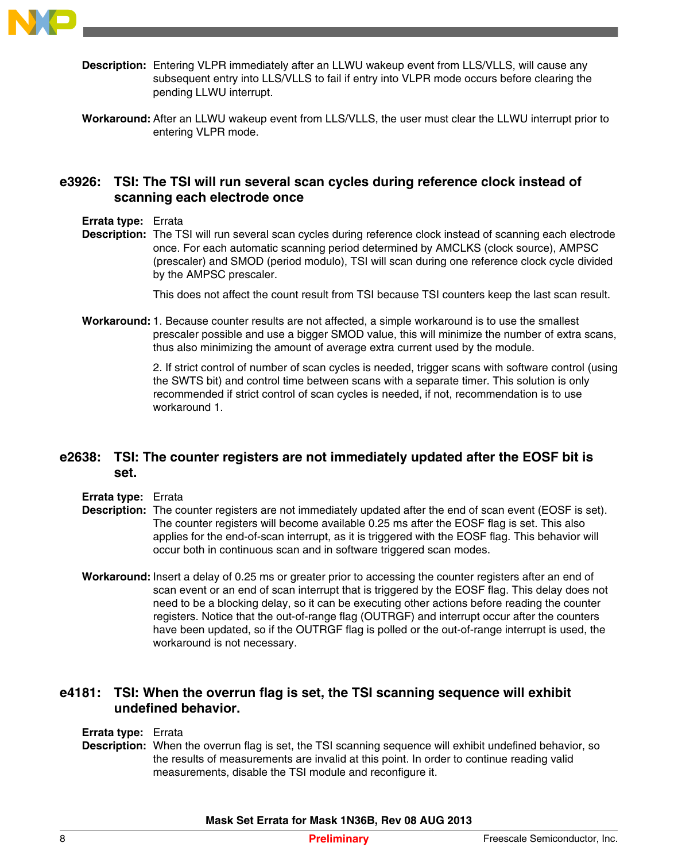

- **Description:** Entering VLPR immediately after an LLWU wakeup event from LLS/VLLS, will cause any subsequent entry into LLS/VLLS to fail if entry into VLPR mode occurs before clearing the pending LLWU interrupt.
- **Workaround:** After an LLWU wakeup event from LLS/VLLS, the user must clear the LLWU interrupt prior to entering VLPR mode.

#### **e3926: TSI: The TSI will run several scan cycles during reference clock instead of scanning each electrode once**

- **Errata type:** Errata
- **Description:** The TSI will run several scan cycles during reference clock instead of scanning each electrode once. For each automatic scanning period determined by AMCLKS (clock source), AMPSC (prescaler) and SMOD (period modulo), TSI will scan during one reference clock cycle divided by the AMPSC prescaler.

This does not affect the count result from TSI because TSI counters keep the last scan result.

**Workaround:**1. Because counter results are not affected, a simple workaround is to use the smallest prescaler possible and use a bigger SMOD value, this will minimize the number of extra scans, thus also minimizing the amount of average extra current used by the module.

> 2. If strict control of number of scan cycles is needed, trigger scans with software control (using the SWTS bit) and control time between scans with a separate timer. This solution is only recommended if strict control of scan cycles is needed, if not, recommendation is to use workaround 1.

#### **e2638: TSI: The counter registers are not immediately updated after the EOSF bit is set.**

- **Errata type:** Errata
- **Description:** The counter registers are not immediately updated after the end of scan event (EOSF is set). The counter registers will become available 0.25 ms after the EOSF flag is set. This also applies for the end-of-scan interrupt, as it is triggered with the EOSF flag. This behavior will occur both in continuous scan and in software triggered scan modes.
- **Workaround:** Insert a delay of 0.25 ms or greater prior to accessing the counter registers after an end of scan event or an end of scan interrupt that is triggered by the EOSF flag. This delay does not need to be a blocking delay, so it can be executing other actions before reading the counter registers. Notice that the out-of-range flag (OUTRGF) and interrupt occur after the counters have been updated, so if the OUTRGF flag is polled or the out-of-range interrupt is used, the workaround is not necessary.

## **e4181: TSI: When the overrun flag is set, the TSI scanning sequence will exhibit undefined behavior.**

- **Errata type:** Errata
- **Description:** When the overrun flag is set, the TSI scanning sequence will exhibit undefined behavior, so the results of measurements are invalid at this point. In order to continue reading valid measurements, disable the TSI module and reconfigure it.

**Mask Set Errata for Mask 1N36B, Rev 08 AUG 2013**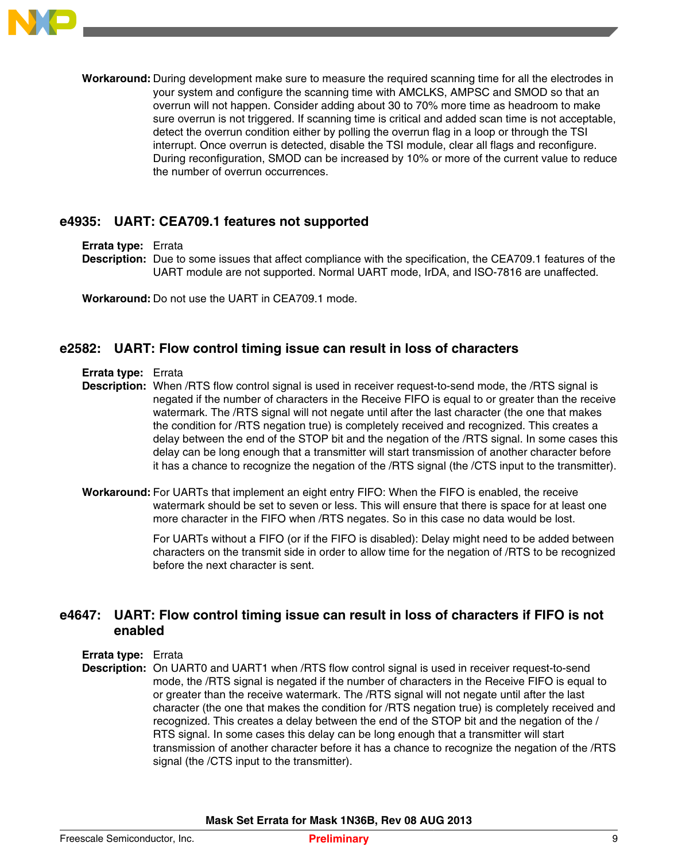

**Workaround:** During development make sure to measure the required scanning time for all the electrodes in your system and configure the scanning time with AMCLKS, AMPSC and SMOD so that an overrun will not happen. Consider adding about 30 to 70% more time as headroom to make sure overrun is not triggered. If scanning time is critical and added scan time is not acceptable, detect the overrun condition either by polling the overrun flag in a loop or through the TSI interrupt. Once overrun is detected, disable the TSI module, clear all flags and reconfigure. During reconfiguration, SMOD can be increased by 10% or more of the current value to reduce the number of overrun occurrences.

#### **e4935: UART: CEA709.1 features not supported**

**Errata type:** Errata

**Description:** Due to some issues that affect compliance with the specification, the CEA709.1 features of the UART module are not supported. Normal UART mode, IrDA, and ISO-7816 are unaffected.

**Workaround:** Do not use the UART in CEA709.1 mode.

#### **e2582: UART: Flow control timing issue can result in loss of characters**

- **Errata type:** Errata
- **Description:** When /RTS flow control signal is used in receiver request-to-send mode, the /RTS signal is negated if the number of characters in the Receive FIFO is equal to or greater than the receive watermark. The /RTS signal will not negate until after the last character (the one that makes the condition for /RTS negation true) is completely received and recognized. This creates a delay between the end of the STOP bit and the negation of the /RTS signal. In some cases this delay can be long enough that a transmitter will start transmission of another character before it has a chance to recognize the negation of the /RTS signal (the /CTS input to the transmitter).
- **Workaround:** For UARTs that implement an eight entry FIFO: When the FIFO is enabled, the receive watermark should be set to seven or less. This will ensure that there is space for at least one more character in the FIFO when /RTS negates. So in this case no data would be lost.

For UARTs without a FIFO (or if the FIFO is disabled): Delay might need to be added between characters on the transmit side in order to allow time for the negation of /RTS to be recognized before the next character is sent.

## **e4647: UART: Flow control timing issue can result in loss of characters if FIFO is not enabled**

- **Errata type:** Errata
- **Description:** On UART0 and UART1 when /RTS flow control signal is used in receiver request-to-send mode, the /RTS signal is negated if the number of characters in the Receive FIFO is equal to or greater than the receive watermark. The /RTS signal will not negate until after the last character (the one that makes the condition for /RTS negation true) is completely received and recognized. This creates a delay between the end of the STOP bit and the negation of the / RTS signal. In some cases this delay can be long enough that a transmitter will start transmission of another character before it has a chance to recognize the negation of the /RTS signal (the /CTS input to the transmitter).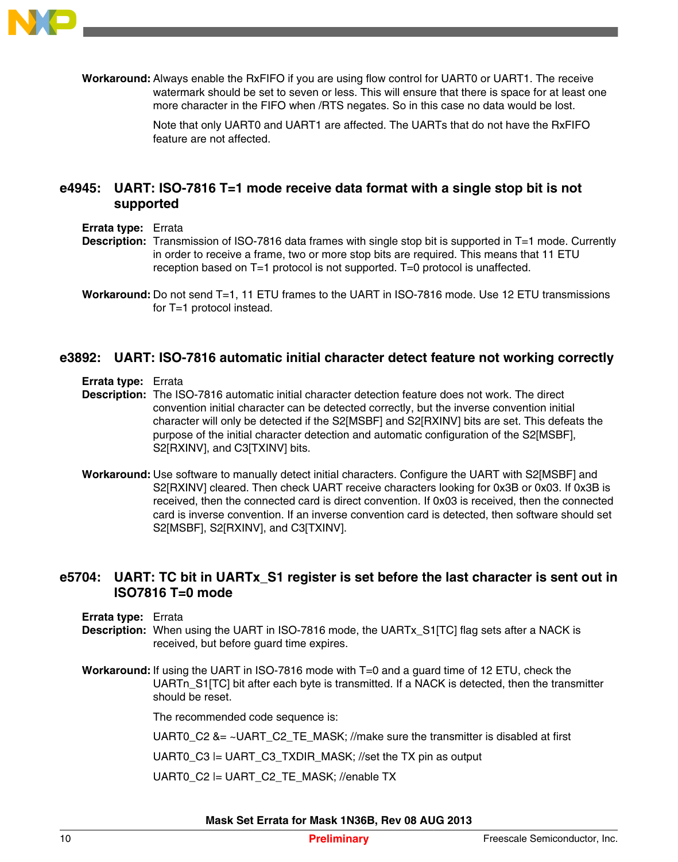

**Workaround:** Always enable the RxFIFO if you are using flow control for UART0 or UART1. The receive watermark should be set to seven or less. This will ensure that there is space for at least one more character in the FIFO when /RTS negates. So in this case no data would be lost.

> Note that only UART0 and UART1 are affected. The UARTs that do not have the RxFIFO feature are not affected.

## **e4945: UART: ISO-7816 T=1 mode receive data format with a single stop bit is not supported**

- **Errata type:** Errata
- **Description:** Transmission of ISO-7816 data frames with single stop bit is supported in T=1 mode. Currently in order to receive a frame, two or more stop bits are required. This means that 11 ETU reception based on T=1 protocol is not supported. T=0 protocol is unaffected.

#### **e3892: UART: ISO-7816 automatic initial character detect feature not working correctly**

**Errata type:** Errata

**Description:** The ISO-7816 automatic initial character detection feature does not work. The direct convention initial character can be detected correctly, but the inverse convention initial character will only be detected if the S2[MSBF] and S2[RXINV] bits are set. This defeats the purpose of the initial character detection and automatic configuration of the S2[MSBF], S2[RXINV], and C3[TXINV] bits.

**Workaround:** Use software to manually detect initial characters. Configure the UART with S2[MSBF] and S2[RXINV] cleared. Then check UART receive characters looking for 0x3B or 0x03. If 0x3B is received, then the connected card is direct convention. If 0x03 is received, then the connected card is inverse convention. If an inverse convention card is detected, then software should set S2[MSBF], S2[RXINV], and C3[TXINV].

#### **e5704: UART: TC bit in UARTx\_S1 register is set before the last character is sent out in ISO7816 T=0 mode**

- **Errata type:** Errata
- **Description:** When using the UART in ISO-7816 mode, the UARTx S1[TC] flag sets after a NACK is received, but before guard time expires.
- **Workaround:** If using the UART in ISO-7816 mode with T=0 and a guard time of 12 ETU, check the UARTn S1[TC] bit after each byte is transmitted. If a NACK is detected, then the transmitter should be reset.

The recommended code sequence is:

UART0  $C2$  &= ~UART  $C2$  TE MASK; //make sure the transmitter is disabled at first

UART0  $C3$  = UART  $C3$  TXDIR MASK; //set the TX pin as output

UART0\_C2 |= UART\_C2\_TE\_MASK; //enable TX

**Workaround:** Do not send T=1, 11 ETU frames to the UART in ISO-7816 mode. Use 12 ETU transmissions for T=1 protocol instead.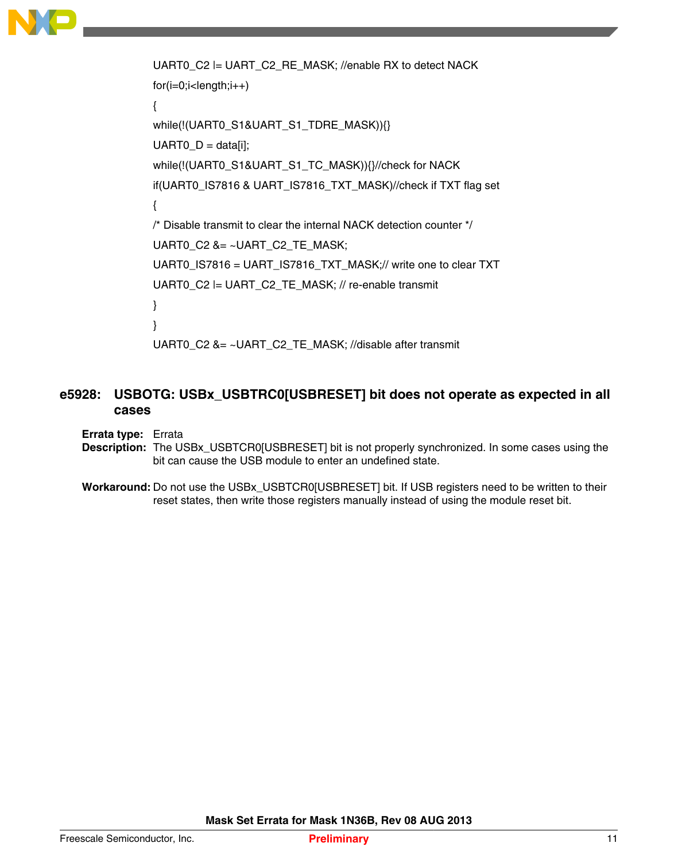

```
UART0 C2 = UART_C2_RE_MASK; //enable RX to detect NACK
for(i=0;i<length;i++){
while(!(UART0_S1&UART_S1_TDRE_MASK)){}
UART0_D = data[i];while(!(UART0_S1&UART_S1_TC_MASK)){}//check for NACK
if(UART0_IS7816 & UART_IS7816_TXT_MASK)//check if TXT flag set
{
/* Disable transmit to clear the internal NACK detection counter */
UART0_C2 &= ~UART_C2_TE_MASK;
UART0_IS7816 = UART_IS7816_TXT_MASK;// write one to clear TXT
UART0_C2 |= UART_C2_TE_MASK; // re-enable transmit
}
}
UART0_C2 &= ~UART_C2_TE_MASK; //disable after transmit
```
# **e5928: USBOTG: USBx\_USBTRC0[USBRESET] bit does not operate as expected in all cases**

**Errata type:** Errata

- **Description:** The USBx\_USBTCR0[USBRESET] bit is not properly synchronized. In some cases using the bit can cause the USB module to enter an undefined state.
- Workaround: Do not use the USBx USBTCR0[USBRESET] bit. If USB registers need to be written to their reset states, then write those registers manually instead of using the module reset bit.